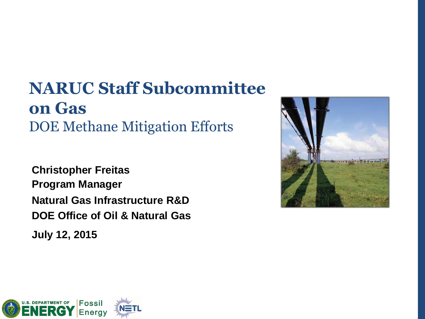# **NARUC Staff Subcommittee on Gas** DOE Methane Mitigation Efforts

**Christopher Freitas Program Manager Natural Gas Infrastructure R&D DOE Office of Oil & Natural Gas**

**July 12, 2015**

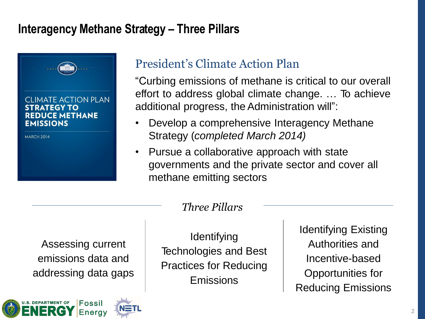# **Interagency Methane Strategy – Three Pillars**



## President's Climate Action Plan

"Curbing emissions of methane is critical to our overall effort to address global climate change. … To achieve additional progress, the Administration will":

- Develop a comprehensive Interagency Methane Strategy (*completed March 2014)*
- Pursue a collaborative approach with state governments and the private sector and cover all methane emitting sectors

### *Three Pillars*

Assessing current emissions data and addressing data gaps



**Identifying** Technologies and Best Practices for Reducing Emissions

Identifying Existing Authorities and Incentive-based Opportunities for Reducing Emissions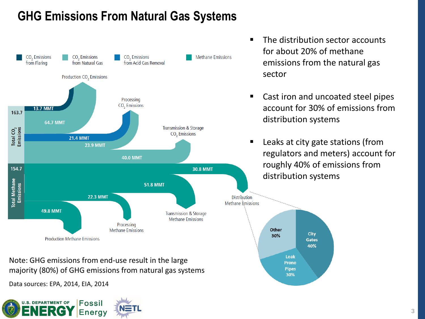# **GHG Emissions From Natural Gas Systems**



- The distribution sector accounts for about 20% of methane emissions from the natural gas sector
- Cast iron and uncoated steel pipes account for 30% of emissions from distribution systems
- Leaks at city gate stations (from regulators and meters) account for roughly 40% of emissions from distribution systems



Note: GHG emissions from end-use result in the large majority (80%) of GHG emissions from natural gas systems

Data sources: EPA, 2014, EIA, 2014

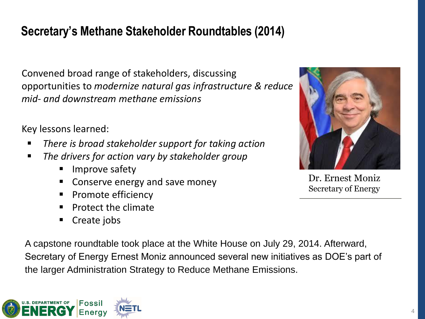# **Secretary's Methane Stakeholder Roundtables (2014)**

Convened broad range of stakeholders, discussing opportunities to *modernize natural gas infrastructure & reduce mid- and downstream methane emissions*

Key lessons learned:

- *There is broad stakeholder support for taking action*
- *The drivers for action vary by stakeholder group*
	- **Improve safety**
	- Conserve energy and save money
	- **Promote efficiency**
	- $\blacksquare$  Protect the climate
	- Create jobs

A capstone roundtable took place at the White House on July 29, 2014. Afterward, Secretary of Energy Ernest Moniz announced several new initiatives as DOE's part of the larger Administration Strategy to Reduce Methane Emissions.





Dr. Ernest Moniz Secretary of Energy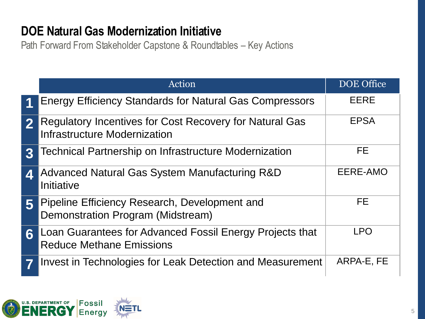# **DOE Natural Gas Modernization Initiative**

Path Forward From Stakeholder Capstone & Roundtables – Key Actions

|                  | Action                                                                                      | <b>DOE</b> Office |
|------------------|---------------------------------------------------------------------------------------------|-------------------|
| 1                | <b>Energy Efficiency Standards for Natural Gas Compressors</b>                              | <b>EERE</b>       |
| $\boldsymbol{2}$ | Regulatory Incentives for Cost Recovery for Natural Gas<br>Infrastructure Modernization     | <b>EPSA</b>       |
| $\mathbf{R}$     | Technical Partnership on Infrastructure Modernization                                       | FE.               |
|                  | Advanced Natural Gas System Manufacturing R&D<br>Initiative                                 | EERE-AMO          |
| 5                | Pipeline Efficiency Research, Development and<br>Demonstration Program (Midstream)          | FE                |
| 6                | Loan Guarantees for Advanced Fossil Energy Projects that<br><b>Reduce Methane Emissions</b> | <b>LPO</b>        |
|                  | Invest in Technologies for Leak Detection and Measurement                                   | ARPA-E, FE        |

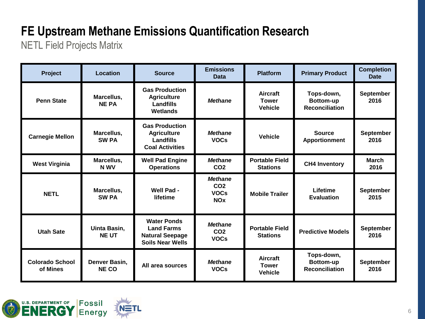# **FE Upstream Methane Emissions Quantification Research**

NETL Field Projects Matrix

| Project                            | <b>Location</b>                     | <b>Source</b>                                                                                | <b>Emissions</b><br><b>Data</b>                                           | <b>Platform</b>                                   | <b>Primary Product</b>                                  | <b>Completion</b><br><b>Date</b> |
|------------------------------------|-------------------------------------|----------------------------------------------------------------------------------------------|---------------------------------------------------------------------------|---------------------------------------------------|---------------------------------------------------------|----------------------------------|
| <b>Penn State</b>                  | Marcellus,<br><b>NE PA</b>          | <b>Gas Production</b><br><b>Agriculture</b><br>Landfills<br><b>Wetlands</b>                  | <b>Methane</b>                                                            | <b>Aircraft</b><br><b>Tower</b><br><b>Vehicle</b> | Tops-down,<br>Bottom-up<br><b>Reconciliation</b>        | <b>September</b><br>2016         |
| <b>Carnegie Mellon</b>             | Marcellus,<br><b>SW PA</b>          | <b>Gas Production</b><br><b>Agriculture</b><br>Landfills<br><b>Coal Activities</b>           | <b>Methane</b><br><b>VOCs</b>                                             | <b>Vehicle</b>                                    | <b>Source</b><br><b>Apportionment</b>                   | September<br>2016                |
| <b>West Virginia</b>               | Marcellus,<br>N WV                  | <b>Well Pad Engine</b><br><b>Operations</b>                                                  | <b>Methane</b><br>CO <sub>2</sub>                                         | <b>Portable Field</b><br><b>Stations</b>          | <b>CH4 Inventory</b>                                    | <b>March</b><br>2016             |
| <b>NETL</b>                        | Marcellus,<br><b>SW PA</b>          | Well Pad -<br>lifetime                                                                       | <b>Methane</b><br>CO <sub>2</sub><br><b>VOCs</b><br><b>NO<sub>x</sub></b> | <b>Mobile Trailer</b>                             | Lifetime<br><b>Evaluation</b>                           | <b>September</b><br>2015         |
| <b>Utah Sate</b>                   | <b>Uinta Basin,</b><br><b>NE UT</b> | <b>Water Ponds</b><br><b>Land Farms</b><br><b>Natural Seepage</b><br><b>Soils Near Wells</b> | <b>Methane</b><br>CO <sub>2</sub><br><b>VOCs</b>                          | <b>Portable Field</b><br><b>Stations</b>          | <b>Predictive Models</b>                                | September<br>2016                |
| <b>Colorado School</b><br>of Mines | Denver Basin,<br><b>NE CO</b>       | All area sources                                                                             | <b>Methane</b><br><b>VOCs</b>                                             | <b>Aircraft</b><br><b>Tower</b><br><b>Vehicle</b> | Tops-down,<br><b>Bottom-up</b><br><b>Reconciliation</b> | September<br>2016                |

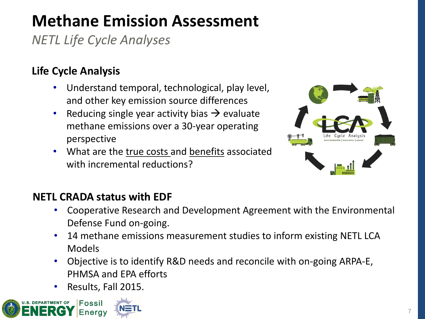# **Methane Emission Assessment**

*NETL Life Cycle Analyses*

## **Life Cycle Analysis**

- Understand temporal, technological, play level, and other key emission source differences
- Reducing single year activity bias  $\rightarrow$  evaluate methane emissions over a 30-year operating perspective
- What are the true costs and benefits associated with incremental reductions?



### **NETL CRADA status with EDF**

- Cooperative Research and Development Agreement with the Environmental Defense Fund on-going.
- 14 methane emissions measurement studies to inform existing NETL LCA Models
- Objective is to identify R&D needs and reconcile with on-going ARPA-E, PHMSA and EPA efforts
- Results, Fall 2015.

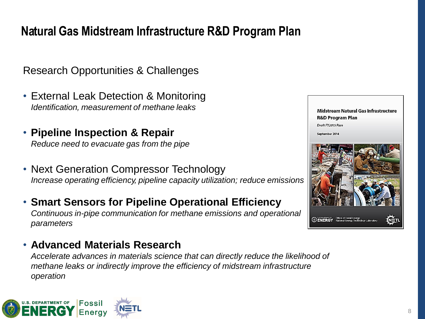# **Natural Gas Midstream Infrastructure R&D Program Plan**

Research Opportunities & Challenges

- External Leak Detection & Monitoring *Identification, measurement of methane leaks*
- **Pipeline Inspection & Repair** *Reduce need to evacuate gas from the pipe*
- Next Generation Compressor Technology *Increase operating efficiency, pipeline capacity utilization; reduce emissions*
- **Smart Sensors for Pipeline Operational Efficiency** *Continuous in-pipe communication for methane emissions and operational parameters*

#### • **Advanced Materials Research**

*Accelerate advances in materials science that can directly reduce the likelihood of methane leaks or indirectly improve the efficiency of midstream infrastructure operation* 





Midstream Natural Gas Infrastructure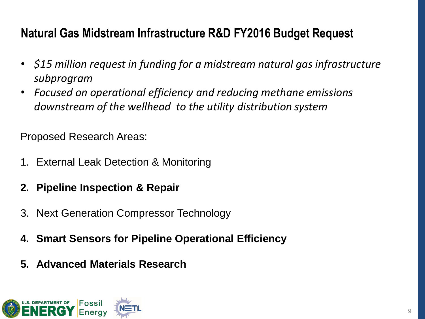# **Natural Gas Midstream Infrastructure R&D FY2016 Budget Request**

- *\$15 million request in funding for a midstream natural gas infrastructure subprogram*
- *Focused on operational efficiency and reducing methane emissions downstream of the wellhead to the utility distribution system*

Proposed Research Areas:

- 1. External Leak Detection & Monitoring
- **2. Pipeline Inspection & Repair**
- 3. Next Generation Compressor Technology
- **4. Smart Sensors for Pipeline Operational Efficiency**
- **5. Advanced Materials Research**

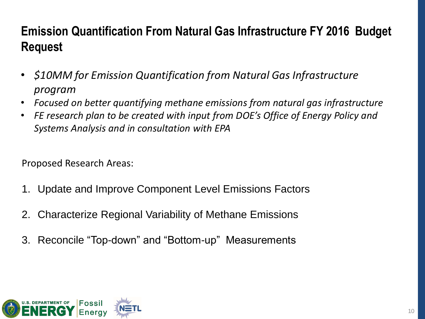# **Emission Quantification From Natural Gas Infrastructure FY 2016 Budget Request**

- *\$10MM for Emission Quantification from Natural Gas Infrastructure program*
- *Focused on better quantifying methane emissions from natural gas infrastructure*
- *FE research plan to be created with input from DOE's Office of Energy Policy and Systems Analysis and in consultation with EPA*

Proposed Research Areas:

- 1. Update and Improve Component Level Emissions Factors
- 2. Characterize Regional Variability of Methane Emissions
- 3. Reconcile "Top-down" and "Bottom-up" Measurements

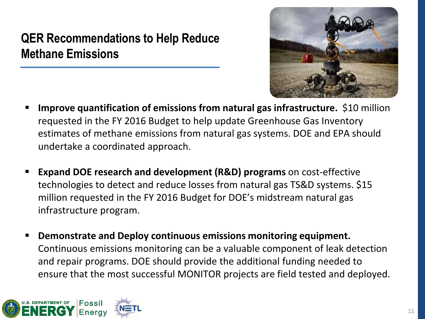# **QER Recommendations to Help Reduce Methane Emissions**



- **Improve quantification of emissions from natural gas infrastructure.** \$10 million requested in the FY 2016 Budget to help update Greenhouse Gas Inventory estimates of methane emissions from natural gas systems. DOE and EPA should undertake a coordinated approach.
- **Expand DOE research and development (R&D) programs** on cost-effective technologies to detect and reduce losses from natural gas TS&D systems. \$15 million requested in the FY 2016 Budget for DOE's midstream natural gas infrastructure program.
- **Demonstrate and Deploy continuous emissions monitoring equipment.** Continuous emissions monitoring can be a valuable component of leak detection and repair programs. DOE should provide the additional funding needed to ensure that the most successful MONITOR projects are field tested and deployed.

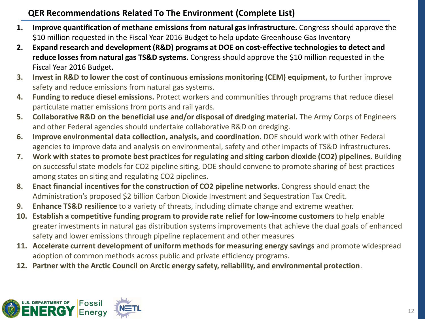#### **QER Recommendations Related To The Environment (Complete List)**

- **1. Improve quantification of methane emissions from natural gas infrastructure.** Congress should approve the \$10 million requested in the Fiscal Year 2016 Budget to help update Greenhouse Gas Inventory
- **2. Expand research and development (R&D) programs at DOE on cost-effective technologies to detect and reduce losses from natural gas TS&D systems.** Congress should approve the \$10 million requested in the Fiscal Year 2016 Budget**.**
- **3. Invest in R&D to lower the cost of continuous emissions monitoring (CEM) equipment,** to further improve safety and reduce emissions from natural gas systems.
- **4. Funding to reduce diesel emissions.** Protect workers and communities through programs that reduce diesel particulate matter emissions from ports and rail yards.
- **5. Collaborative R&D on the beneficial use and/or disposal of dredging material.** The Army Corps of Engineers and other Federal agencies should undertake collaborative R&D on dredging.
- **6. Improve environmental data collection, analysis, and coordination.** DOE should work with other Federal agencies to improve data and analysis on environmental, safety and other impacts of TS&D infrastructures.
- **7. Work with states to promote best practices for regulating and siting carbon dioxide (CO2) pipelines.** Building on successful state models for CO2 pipeline siting, DOE should convene to promote sharing of best practices among states on siting and regulating CO2 pipelines.
- **8. Enact financial incentives for the construction of CO2 pipeline networks.** Congress should enact the Administration's proposed \$2 billion Carbon Dioxide Investment and Sequestration Tax Credit.
- **9. Enhance TS&D resilience** to a variety of threats, including climate change and extreme weather.
- **10. Establish a competitive funding program to provide rate relief for low-income customers** to help enable greater investments in natural gas distribution systems improvements that achieve the dual goals of enhanced safety and lower emissions through pipeline replacement and other measures
- **11. Accelerate current development of uniform methods for measuring energy savings** and promote widespread adoption of common methods across public and private efficiency programs.
- **12. Partner with the Arctic Council on Arctic energy safety, reliability, and environmental protection**.